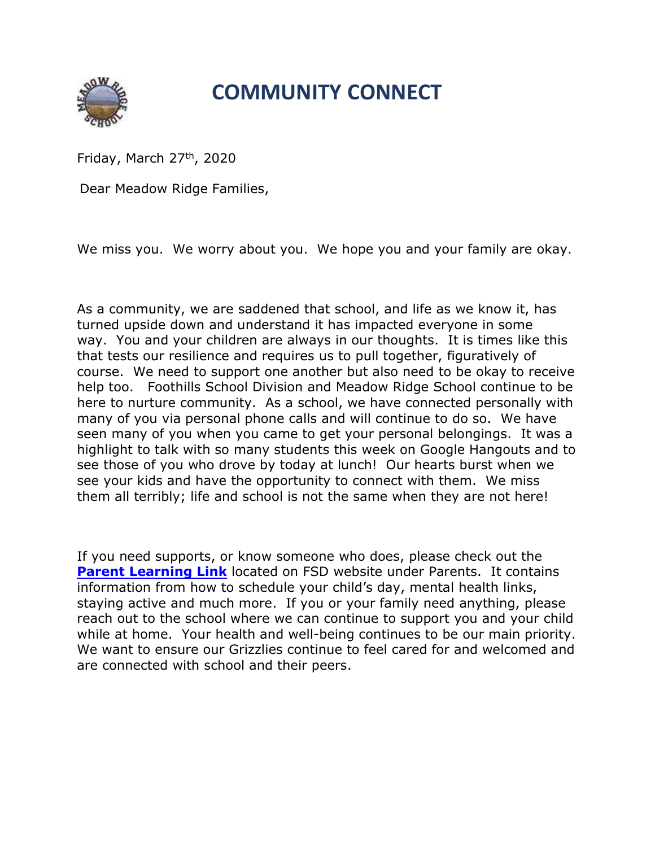## COMMUNITY CONNECT

Friday, March  $27<sup>th</sup>$ , 2020

Dear Meadow Ridge Families,

We miss you. We worry about you. We hope you and your family are okay.

As a community, we are saddened that school, and life as we know it, has turned upside down and understand it has impacted everyone in some way. You and your children are always in our thoughts. It is times like this that tests our resilience and requires us to pull together, figuratively of course. We need to support one another but also need to be okay to receive help too. Foothills School Division and Meadow Ridge School continue to be here to nurture community. As a school, we have connected personally with many of you via personal phone calls and will continue to do so. We have seen many of you when you came to get your personal belongings. It was a highlight to talk with so many students this week on Google Hangouts and to see those of you who drove by today at lunch! Our hearts burst when we see your kids and have the opportunity to connect with them. We miss them all terribly; life and school is not the same when they are not here!

If you need supports, or know someone who does, please check out the **Parent Learning Link** located on FSD website under Parents. It contains information from how to schedule your child's day, mental health links, staying active and much more. If you or your family need anything, please reach out to the school where we can continue to support you and your child while at home. Your health and well-being continues to be our main priority. We want to ensure our Grizzlies continue to feel cared for and welcomed and are connected with school and their peers.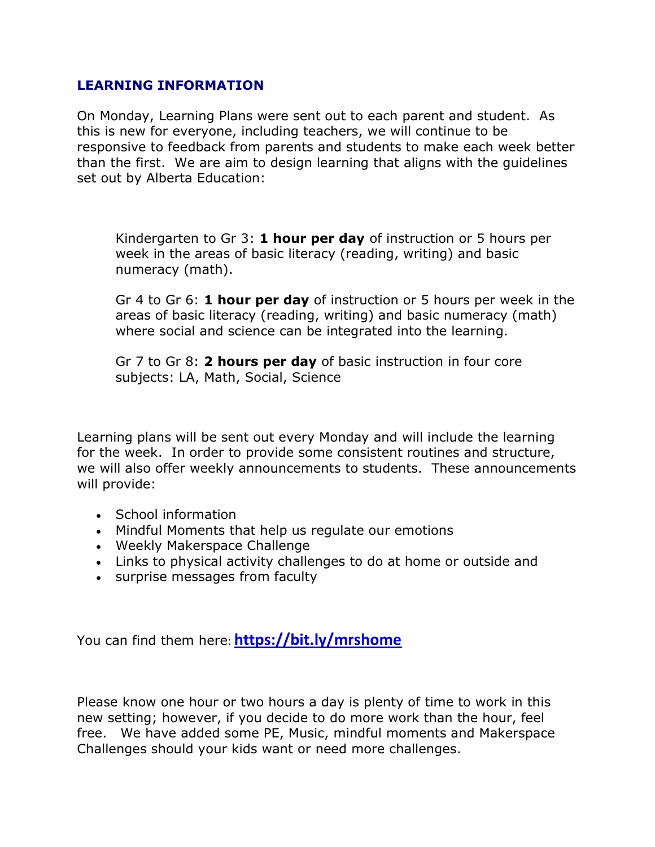## LEARNING INFORMATION

On Monday, Learning Plans were sent out to each parent and student. As this is new for everyone, including teachers, we will continue to be responsive to feedback from parents and students to make each week better than the first. We are aim to design learning that aligns with the guidelines set out by Alberta Education:

Kindergarten to Gr 3: **1 hour per day** of instruction or 5 hours per week in the areas of basic literacy (reading, writing) and basic numeracy (math).

Gr 4 to Gr 6: **1 hour per day** of instruction or 5 hours per week in the areas of basic literacy (reading, writing) and basic numeracy (math) where social and science can be integrated into the learning.

Gr 7 to Gr 8: 2 hours per day of basic instruction in four core subjects: LA, Math, Social, Science

Learning plans will be sent out every Monday and will include the learning for the week. In order to provide some consistent routines and structure, we will also offer weekly announcements to students. These announcements will provide:

- School information
- Mindful Moments that help us regulate our emotions
- Weekly Makerspace Challenge
- Links to physical activity challenges to do at home or outside and
- surprise messages from faculty

You can find them here: https://bit.ly/mrshome

Please know one hour or two hours a day is plenty of time to work in this new setting; however, if you decide to do more work than the hour, feel free. We have added some PE, Music, mindful moments and Makerspace Challenges should your kids want or need more challenges.